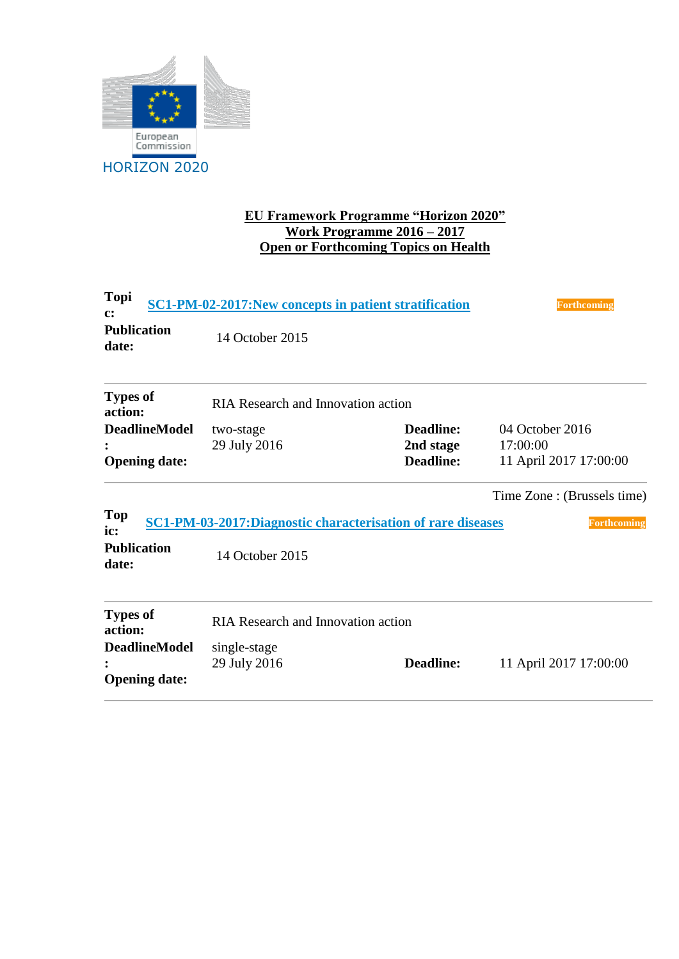

## **EU Framework Programme "Horizon 2020" Work Programme 2016 – 2017 Open or Forthcoming Topics on Health**

| Topi<br>$\mathbf{c}$ :      | SC1-PM-02-2017: New concepts in patient stratification       | <b>Forthcoming</b> |                             |  |  |  |
|-----------------------------|--------------------------------------------------------------|--------------------|-----------------------------|--|--|--|
| <b>Publication</b><br>date: | 14 October 2015                                              |                    |                             |  |  |  |
| <b>Types of</b><br>action:  | <b>RIA Research and Innovation action</b>                    |                    |                             |  |  |  |
| <b>DeadlineModel</b>        | two-stage                                                    | <b>Deadline:</b>   | 04 October 2016             |  |  |  |
|                             | 29 July 2016                                                 | 2nd stage          | 17:00:00                    |  |  |  |
| <b>Opening date:</b>        |                                                              | <b>Deadline:</b>   | 11 April 2017 17:00:00      |  |  |  |
|                             |                                                              |                    | Time Zone : (Brussels time) |  |  |  |
| <b>Top</b><br>ic:           | SC1-PM-03-2017: Diagnostic characterisation of rare diseases |                    | <b>Forthcoming</b>          |  |  |  |
| <b>Publication</b><br>date: | 14 October 2015                                              |                    |                             |  |  |  |
| <b>Types of</b><br>action:  | <b>RIA Research and Innovation action</b>                    |                    |                             |  |  |  |
| <b>DeadlineModel</b>        | single-stage                                                 |                    |                             |  |  |  |
|                             | 29 July 2016                                                 | <b>Deadline:</b>   | 11 April 2017 17:00:00      |  |  |  |
| <b>Opening date:</b>        |                                                              |                    |                             |  |  |  |
|                             |                                                              |                    |                             |  |  |  |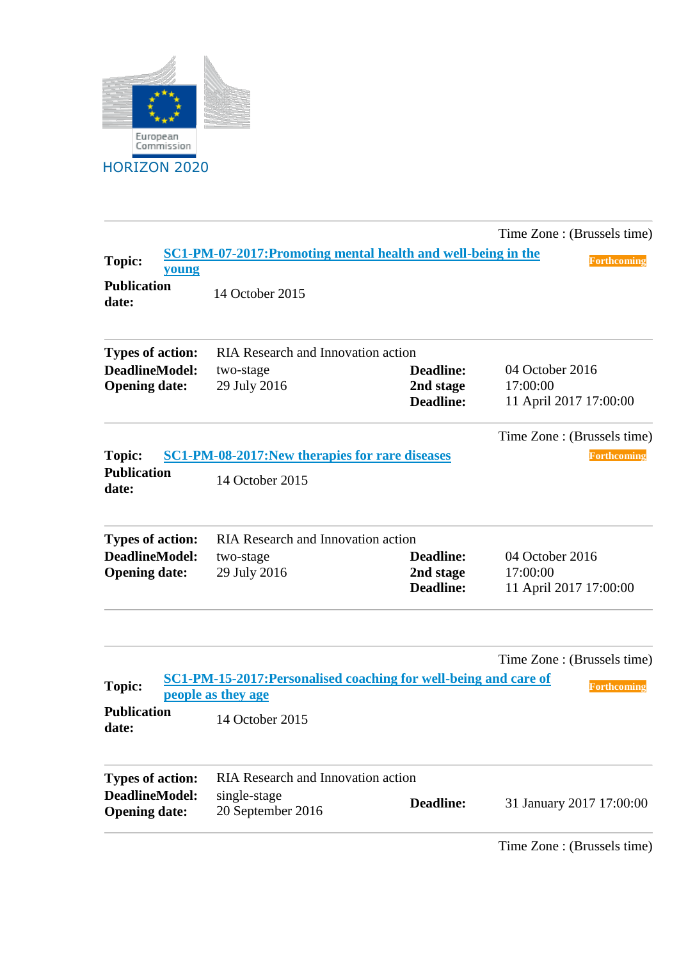

|                                               |                                                                  |                                                   | Time Zone : (Brussels time)                           |  |  |
|-----------------------------------------------|------------------------------------------------------------------|---------------------------------------------------|-------------------------------------------------------|--|--|
| <b>Topic:</b><br>young                        | SC1-PM-07-2017: Promoting mental health and well-being in the    |                                                   | <b>Forthcoming</b>                                    |  |  |
| <b>Publication</b><br>date:                   | 14 October 2015                                                  |                                                   |                                                       |  |  |
| <b>Types of action:</b>                       | <b>RIA Research and Innovation action</b>                        |                                                   |                                                       |  |  |
| <b>DeadlineModel:</b><br><b>Opening date:</b> | two-stage<br>29 July 2016                                        | <b>Deadline:</b><br>2nd stage<br><b>Deadline:</b> | 04 October 2016<br>17:00:00<br>11 April 2017 17:00:00 |  |  |
|                                               |                                                                  |                                                   | Time Zone : (Brussels time)                           |  |  |
| <b>Topic:</b>                                 | SC1-PM-08-2017: New therapies for rare diseases                  |                                                   | Forthcoming                                           |  |  |
| <b>Publication</b><br>date:                   | 14 October 2015                                                  |                                                   |                                                       |  |  |
| <b>Types of action:</b>                       | <b>RIA Research and Innovation action</b>                        |                                                   |                                                       |  |  |
| <b>DeadlineModel:</b>                         | two-stage                                                        | <b>Deadline:</b>                                  | 04 October 2016                                       |  |  |
| <b>Opening date:</b>                          | 29 July 2016                                                     | 2nd stage<br><b>Deadline:</b>                     | 17:00:00<br>11 April 2017 17:00:00                    |  |  |
| <b>Topic:</b>                                 | SC1-PM-15-2017: Personalised coaching for well-being and care of |                                                   | Time Zone : (Brussels time)<br><b>Forthcoming</b>     |  |  |
|                                               | people as they age                                               |                                                   |                                                       |  |  |
| <b>Publication</b><br>date:                   | 14 October 2015                                                  |                                                   |                                                       |  |  |
| <b>Types of action:</b>                       | <b>RIA Research and Innovation action</b>                        |                                                   |                                                       |  |  |
| <b>DeadlineModel:</b><br><b>Opening date:</b> | single-stage<br>20 September 2016                                | <b>Deadline:</b>                                  | 31 January 2017 17:00:00                              |  |  |
|                                               |                                                                  |                                                   | Time Zone : (Brussels time)                           |  |  |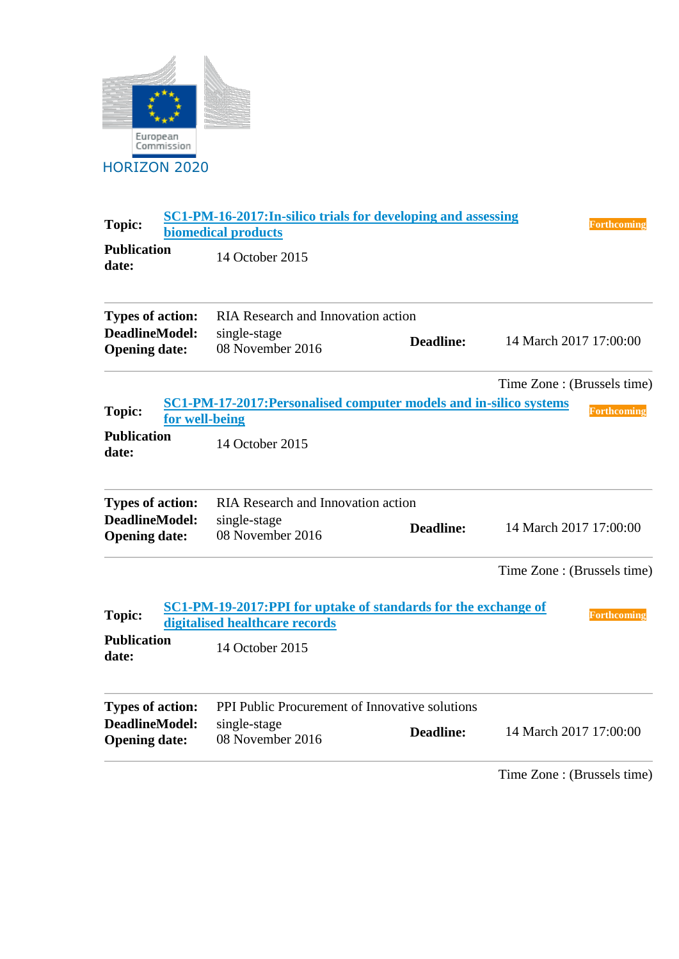

| <b>Topic:</b>                                 | <b>SC1-PM-16-2017: In-silico trials for developing and assessing</b><br><b>biomedical products</b>      | <b>Forthcoming</b>          |
|-----------------------------------------------|---------------------------------------------------------------------------------------------------------|-----------------------------|
| <b>Publication</b><br>date:                   | 14 October 2015                                                                                         |                             |
| <b>Types of action:</b>                       | <b>RIA Research and Innovation action</b>                                                               |                             |
| <b>DeadlineModel:</b><br><b>Opening date:</b> | single-stage<br><b>Deadline:</b><br>08 November 2016                                                    | 14 March 2017 17:00:00      |
|                                               | SC1-PM-17-2017: Personalised computer models and in-silico systems                                      | Time Zone : (Brussels time) |
| <b>Topic:</b><br>for well-being               |                                                                                                         | <b>Forthcoming</b>          |
| <b>Publication</b><br>date:                   | 14 October 2015                                                                                         |                             |
| <b>Types of action:</b>                       | <b>RIA Research and Innovation action</b>                                                               |                             |
| <b>DeadlineModel:</b><br><b>Opening date:</b> | single-stage<br><b>Deadline:</b><br>08 November 2016                                                    | 14 March 2017 17:00:00      |
|                                               |                                                                                                         | Time Zone : (Brussels time) |
| <b>Topic:</b>                                 | <b>SC1-PM-19-2017:PPI for uptake of standards for the exchange of</b><br>digitalised healthcare records | <b>Forthcoming</b>          |
| <b>Publication</b><br>date:                   | 14 October 2015                                                                                         |                             |
| <b>Types of action:</b>                       | PPI Public Procurement of Innovative solutions                                                          |                             |
| <b>DeadlineModel:</b><br><b>Opening date:</b> | single-stage<br><b>Deadline:</b><br>08 November 2016                                                    | 14 March 2017 17:00:00      |
|                                               |                                                                                                         | Time Zone: (Brussels time)  |